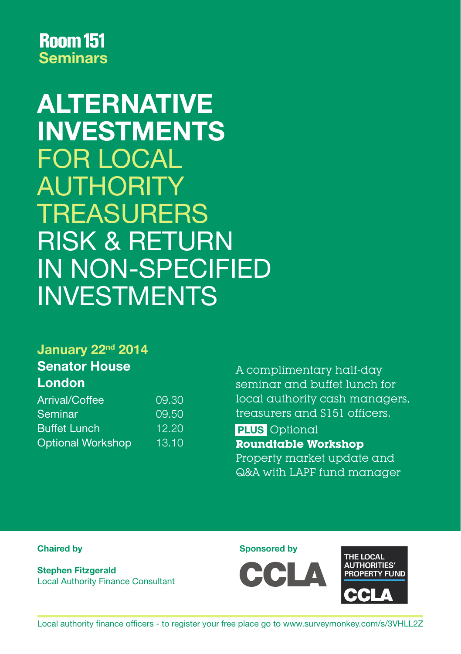# ALTERNATIVE INVESTMENTS FOR LOCAL AUTHORITY **TREASURERS** RISK & RETURN IN NON-SPECIFIED INVESTMENTS

### January 22<sup>nd</sup> 2014 Senator House London

| Arrival/Coffee           | 09.30 |
|--------------------------|-------|
| Seminar                  | 09.50 |
| <b>Buffet Lunch</b>      | 12.20 |
| <b>Optional Workshop</b> | 13.10 |

A complimentary half-day seminar and buffet lunch for local authority cash managers, treasurers and S151 officers.

PLUS Optional **Roundtable Workshop** Property market update and Q&A with LAPF fund manager

Stephen Fitzgerald Local Authority Finance Consultant

Chaired by Sponsored by Sponsored by Sponsored by Sponsored by Sponsored by Sponsored by Sponsored by Sponsored by Sponsored by Sponsored by Sponsored by Sponsored by Sponsored by Sponsored by Sponsored by Sponsored by Spo